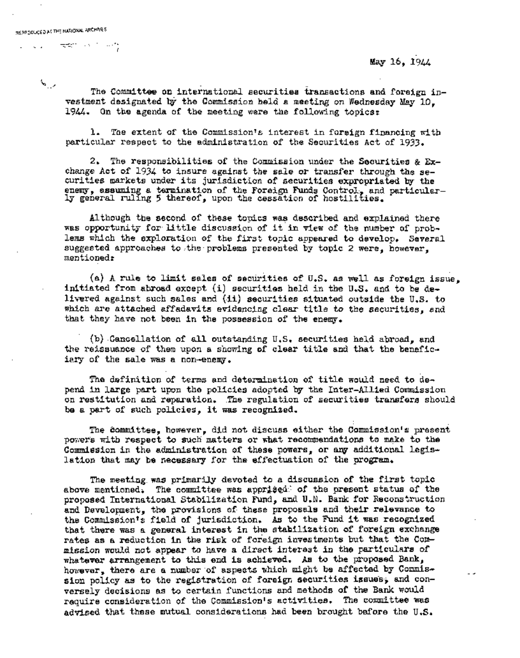المرديني

!

May 16, 1944

 $\overline{a}$ 

The Committee on international securities transactions and foreign investment designated by the Commission held a meeting on Wednesday May 10. 19 $44.$  On the agenda of the meeting were the following topics:

1. The extent of the Commlssion's interest in foreign financing with particular respect to the administration of the Securities Act of 1933.

2. The responsibilities of the Commission under the Securities & Exchange Act of 1934 to insure against the sale or transfer through the securities markets under its jurisdiction of securities expropriated by the enemy, assuming a termination of the Foreign Funds Control~ and particularly general ruling 5 thereof, upon the cessation of hostilities.

Although the second of these touics was described and explained there was opportunity for little discussion of it in view of the number of problems which the exploration of the first topic appeared to develop. Several suggested approaches to .the problems presented by topic 2 were, however, mentioned:

(a) A rule to limit sales of securities of U.S. as well as foreign issue, initiated from abroad except (i) securities held in the U.S. and to be delivered against such sales and (ii) securities situated outside the U.S. to which are attached affadavits evidencing clear title to the securities, and that they have not been in the possession of the enemy.

(b) Cancellation of all outstanding U.S. securities held abroad, and the reissuance of them upon a showing of clear title and that the beneficiary of the sale was a non-enemy.

The definition of terms and determination of title would need to depend in large part upon the policies adopted by the Inter-Allied Commission on restitution and reparation, The regulation of securities transfers should be a part of such policies, it was recognized.

The committee, however, did not discuss either the Commission's present powers with respect to such matters or what recommendations to make to the Commission in the administration of these powers, or amy additional legislation that may be necessary for the effectuation of the program.

The meeting was primarily devoted to a discussion of the first topic above mentioned. The committee was apprized of the present status of the proposed International Stabilization Fund, and U.N. Bank for Reconstruction and Development, the provisions of these proposals and their relevance to the Commission'z field of Jurisdiction. As to the Fund it was recognized that there was a general interest in the stabilization of foreign exchange rates as a reduction in the risk of foreign investments but that the Commission would not appear to have a direct interest in the particulars of whatever arrangement to this end is achieved. As to the proposed Bank, however, there are a number of aspects which might be affected by Conmission policy as to the registration of foreign securities issues; and conversely decisions as to certain functions and methods of the Bank would require consideration of the Commission's activities. The committee was advised that these mutual considerations had been brought before the U.S.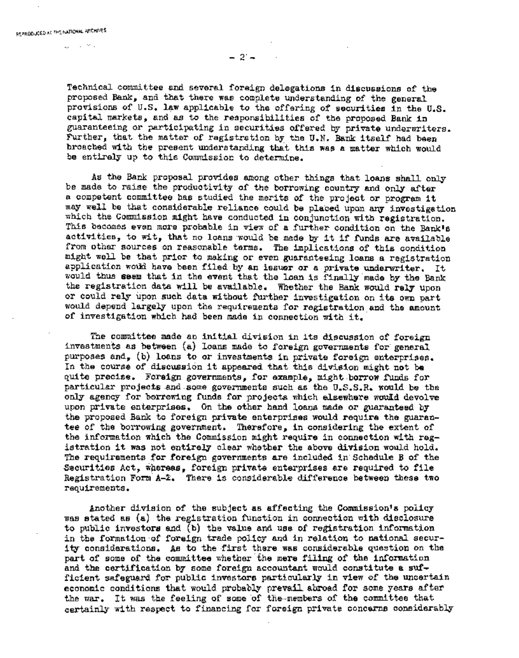$\omega_{\rm c} = 10^{11}$  M  $_{\odot}$ 

 $-2 -$ 

Technical committee and several foreign delegations in discussions of the proposed Bank, and that there was complete understanding of the general provisions of U.S. law applicable to the offering of securities in the U.S. capital markets, and as to the responsibilities of the proposed Bank in guaranteeing or participating in securities offered by private underwriters. Further, that the matter of registration by the U.N. Bank itself had been broached with the present understanding that this was a matter which would be entirely up to this Commission to determine.

As the Bank proposal provides among other things that loans shall only be made to raise the productivity of the borrowing country and only after a competent committee has studied the merits of the project or program it may well be that considerable reliance could be placed upon any investigation which the Commission might have conducted in conjunction with registration. This becomes even more probable in view of a further condition on the Bank's activities, to wit, that no loans would be made by it if funds are available from other sources on reasonable terms. The implications of this condition might well be that prior to making or even guaranteeing loans a registration application would have been filed by an issuer or a private underwriter. It would thus seem that in the event that the loan is finally made by the Bank the registration data will be available. Whether the Bank would rely upon or could rely upon such data without further investigation on its own part would depend largely upon the requirements for registration and the amount of investigation which had been made in connection with it.

The committee made an initial division in its discussion of foreign investments as between (a) loans made to foreign governments for general purposes and, (b) loans to or investments in private foreign enterprises. In the course of discussion it appeared that this division might not be quite precise. Foreign governments, for example, might borrow funds for particular projects and some governments such as the U.S.S.R. would be the only agency for borrowing funds for projects which elsewhere would devolve upon private enterprises. On the other hand loans made or guaranteed by the proposed Bank to foreign private enterprises would require the guarantee of the borrowing government. Therefore, in considering the extent of the information which the Commission might require in connection with registration it was not entirely clear whether the above division would hold. The requirements for foreign governments are included in Schedule B of the Securities Act, whereas, foreign private enterprises are required to file Registration Form  $A-2$ . There is considerable difference between these two requirements.

Another division of the subject as affecting the Commission's policy was stated as (a) the registration function in connection with disclosure to public investors and (b) the value and use of registration information in the formation of foreign trade policy and in relation to national security considerations. As to the first there was considerable question on the part of some of the committee whether the mere fillng of the information and the certification by some foreign accountant would constitute a sufficient safeguard for public investors particularly in view of the uncertain economic conditions that would probably prevail abroad for some years after the war. It was the feeling of some of the-members of the committee that certainly with respect to financing for foreign private concerns considerably